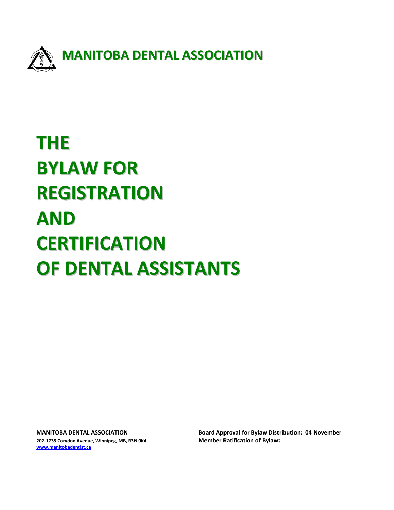

# **THE BYLAW FOR REGISTRATION AND CERTIFICATION OF DENTAL ASSISTANTS**

**202-1735 Corydon Avenue, Winnipeg, MB, R3N 0K4 Member Ratification of Bylaw: [www.manitobadentist.ca](http://www.manitobadentist.ca/)** 

**MANITOBA DENTAL ASSOCIATION Board Approval for Bylaw Distribution: 04 November**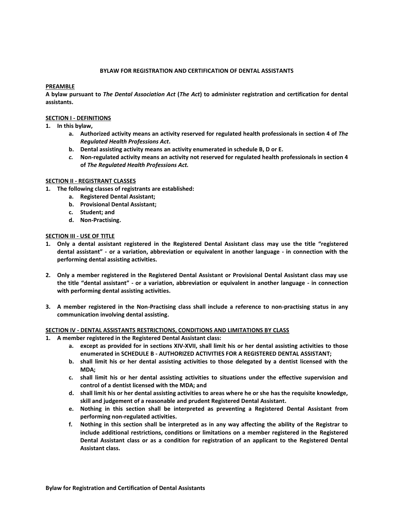## **BYLAW FOR REGISTRATION AND CERTIFICATION OF DENTAL ASSISTANTS**

# **PREAMBLE**

**A bylaw pursuant to** *The Dental Association Act* **(***The Act***) to administer registration and certification for dental assistants.**

## **SECTION I - DEFINITIONS**

- **1. In this bylaw,**
	- **a. Authorized activity means an activity reserved for regulated health professionals in section 4 of** *The Regulated Health Professions Act***.**
	- **b. Dental assisting activity means an activity enumerated in schedule B, D or E.**
	- *c.* **Non-regulated activity means an activity not reserved for regulated health professionals in section 4 of** *The Regulated Health Professions Act.*

#### **SECTION II - REGISTRANT CLASSES**

- **1. The following classes of registrants are established:**
	- **a. Registered Dental Assistant;**
	- **b. Provisional Dental Assistant;**
	- **c. Student; and**
	- **d. Non-Practising.**

#### **SECTION III - USE OF TITLE**

- **1. Only a dental assistant registered in the Registered Dental Assistant class may use the title "registered dental assistant" - or a variation, abbreviation or equivalent in another language - in connection with the performing dental assisting activities.**
- **2. Only a member registered in the Registered Dental Assistant or Provisional Dental Assistant class may use the title "dental assistant" - or a variation, abbreviation or equivalent in another language - in connection with performing dental assisting activities.**
- **3. A member registered in the Non-Practising class shall include a reference to non-practising status in any communication involving dental assisting.**

# **SECTION IV - DENTAL ASSISTANTS RESTRICTIONS, CONDITIONS AND LIMITATIONS BY CLASS**

- **1. A member registered in the Registered Dental Assistant class:**
	- **a. except as provided for in sections XIV-XVII, shall limit his or her dental assisting activities to those enumerated in SCHEDULE B - AUTHORIZED ACTIVITIES FOR A REGISTERED DENTAL ASSISTANT;**
	- **b. shall limit his or her dental assisting activities to those delegated by a dentist licensed with the MDA;**
	- **c. shall limit his or her dental assisting activities to situations under the effective supervision and control of a dentist licensed with the MDA; and**
	- **d. shall limit his or her dental assisting activities to areas where he or she has the requisite knowledge, skill and judgement of a reasonable and prudent Registered Dental Assistant.**
	- **e. Nothing in this section shall be interpreted as preventing a Registered Dental Assistant from performing non-regulated activities.**
	- **f. Nothing in this section shall be interpreted as in any way affecting the ability of the Registrar to include additional restrictions, conditions or limitations on a member registered in the Registered Dental Assistant class or as a condition for registration of an applicant to the Registered Dental Assistant class.**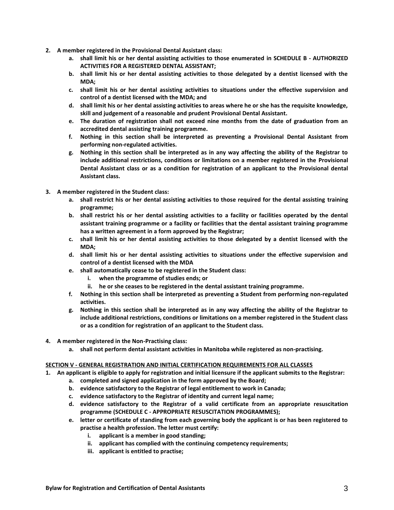- **2. A member registered in the Provisional Dental Assistant class:**
	- **a. shall limit his or her dental assisting activities to those enumerated in SCHEDULE B - AUTHORIZED ACTIVITIES FOR A REGISTERED DENTAL ASSISTANT;**
	- **b. shall limit his or her dental assisting activities to those delegated by a dentist licensed with the MDA;**
	- **c. shall limit his or her dental assisting activities to situations under the effective supervision and control of a dentist licensed with the MDA; and**
	- **d. shall limit his or her dental assisting activities to areas where he or she has the requisite knowledge, skill and judgement of a reasonable and prudent Provisional Dental Assistant.**
	- **e. The duration of registration shall not exceed nine months from the date of graduation from an accredited dental assisting training programme.**
	- **f. Nothing in this section shall be interpreted as preventing a Provisional Dental Assistant from performing non-regulated activities.**
	- **g. Nothing in this section shall be interpreted as in any way affecting the ability of the Registrar to include additional restrictions, conditions or limitations on a member registered in the Provisional Dental Assistant class or as a condition for registration of an applicant to the Provisional dental Assistant class.**
- **3. A member registered in the Student class:**
	- **a. shall restrict his or her dental assisting activities to those required for the dental assisting training programme;**
	- **b. shall restrict his or her dental assisting activities to a facility or facilities operated by the dental assistant training programme or a facility or facilities that the dental assistant training programme has a written agreement in a form approved by the Registrar;**
	- **c. shall limit his or her dental assisting activities to those delegated by a dentist licensed with the MDA;**
	- **d. shall limit his or her dental assisting activities to situations under the effective supervision and control of a dentist licensed with the MDA**
	- **e. shall automatically cease to be registered in the Student class:** 
		- **i. when the programme of studies ends; or**
		- **ii. he or she ceases to be registered in the dental assistant training programme.**
	- **f. Nothing in this section shall be interpreted as preventing a Student from performing non-regulated activities.**
	- **g. Nothing in this section shall be interpreted as in any way affecting the ability of the Registrar to include additional restrictions, conditions or limitations on a member registered in the Student class or as a condition for registration of an applicant to the Student class.**
- **4. A member registered in the Non-Practising class:**
	- **a. shall not perform dental assistant activities in Manitoba while registered as non-practising.**

#### **SECTION V - GENERAL REGISTRATION AND INITIAL CERTIFICATION REQUIREMENTS FOR ALL CLASSES**

- **1. An applicant is eligible to apply for registration and initial licensure if the applicant submits to the Registrar:**
	- **a. completed and signed application in the form approved by the Board;**
	- **b. evidence satisfactory to the Registrar of legal entitlement to work in Canada;**
	- **c. evidence satisfactory to the Registrar of identity and current legal name;**
	- **d. evidence satisfactory to the Registrar of a valid certificate from an appropriate resuscitation programme (SCHEDULE C - APPROPRIATE RESUSCITATION PROGRAMMES);**
	- **e. letter or certificate of standing from each governing body the applicant is or has been registered to practise a health profession. The letter must certify:**
		- **i. applicant is a member in good standing;**
		- **ii. applicant has complied with the continuing competency requirements;**
		- **iii. applicant is entitled to practise;**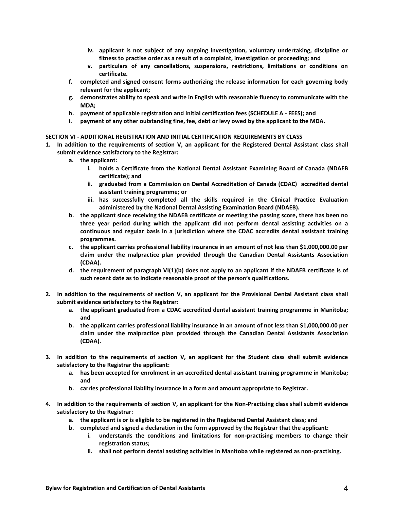- **iv. applicant is not subject of any ongoing investigation, voluntary undertaking, discipline or fitness to practise order as a result of a complaint, investigation or proceeding; and**
- **v. particulars of any cancellations, suspensions, restrictions, limitations or conditions on certificate.**
- **f. completed and signed consent forms authorizing the release information for each governing body relevant for the applicant;**
- **g. demonstrates ability to speak and write in English with reasonable fluency to communicate with the MDA;**
- **h. payment of applicable registration and initial certification fees (SCHEDULE A - FEES); and**
- **i. payment of any other outstanding fine, fee, debt or levy owed by the applicant to the MDA.**

#### **SECTION VI - ADDITIONAL REGISTRATION AND INITIAL CERTIFICATION REQUIREMENTS BY CLASS**

- **1. In addition to the requirements of section V, an applicant for the Registered Dental Assistant class shall submit evidence satisfactory to the Registrar:**
	- **a. the applicant:**
		- **i. holds a Certificate from the National Dental Assistant Examining Board of Canada (NDAEB certificate); and**
		- **ii. graduated from a Commission on Dental Accreditation of Canada (CDAC) accredited dental assistant training programme; or**
		- **iii. has successfully completed all the skills required in the Clinical Practice Evaluation administered by the National Dental Assisting Examination Board (NDAEB).**
	- **b. the applicant since receiving the NDAEB certificate or meeting the passing score, there has been no three year period during which the applicant did not perform dental assisting activities on a continuous and regular basis in a jurisdiction where the CDAC accredits dental assistant training programmes.**
	- **c. the applicant carries professional liability insurance in an amount of not less than \$1,000,000.00 per claim under the malpractice plan provided through the Canadian Dental Assistants Association (CDAA).**
	- **d. the requirement of paragraph VI(1)(b) does not apply to an applicant if the NDAEB certificate is of such recent date as to indicate reasonable proof of the person's qualifications.**
- **2. In addition to the requirements of section V, an applicant for the Provisional Dental Assistant class shall submit evidence satisfactory to the Registrar:**
	- **a. the applicant graduated from a CDAC accredited dental assistant training programme in Manitoba; and**
	- **b. the applicant carries professional liability insurance in an amount of not less than \$1,000,000.00 per claim under the malpractice plan provided through the Canadian Dental Assistants Association (CDAA).**
- **3. In addition to the requirements of section V, an applicant for the Student class shall submit evidence satisfactory to the Registrar the applicant:**
	- **a. has been accepted for enrolment in an accredited dental assistant training programme in Manitoba; and**
	- **b. carries professional liability insurance in a form and amount appropriate to Registrar.**
- **4. In addition to the requirements of section V, an applicant for the Non-Practising class shall submit evidence satisfactory to the Registrar:**
	- **a. the applicant is or is eligible to be registered in the Registered Dental Assistant class; and**
	- **b. completed and signed a declaration in the form approved by the Registrar that the applicant:**
		- **i. understands the conditions and limitations for non-practising members to change their registration status;**
		- **ii. shall not perform dental assisting activities in Manitoba while registered as non-practising.**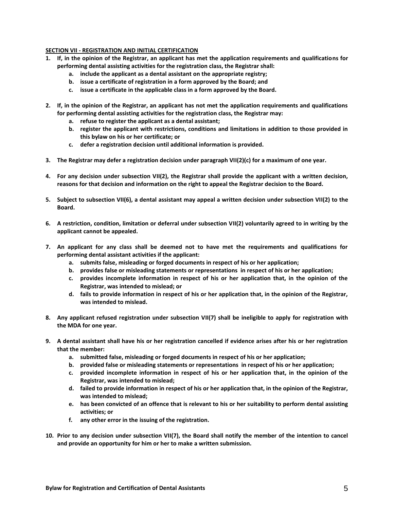# **SECTION VII - REGISTRATION AND INITIAL CERTIFICATION**

- **1. If, in the opinion of the Registrar, an applicant has met the application requirements and qualifications for performing dental assisting activities for the registration class, the Registrar shall:**
	- **a. include the applicant as a dental assistant on the appropriate registry;**
	- **b. issue a certificate of registration in a form approved by the Board; and**
	- **c. issue a certificate in the applicable class in a form approved by the Board.**
- **2. If, in the opinion of the Registrar, an applicant has not met the application requirements and qualifications for performing dental assisting activities for the registration class, the Registrar may:**
	- **a. refuse to register the applicant as a dental assistant;**
	- **b. register the applicant with restrictions, conditions and limitations in addition to those provided in this bylaw on his or her certificate; or**
	- **c. defer a registration decision until additional information is provided.**
- **3. The Registrar may defer a registration decision under paragraph VII(2)(c) for a maximum of one year.**
- **4. For any decision under subsection VII(2), the Registrar shall provide the applicant with a written decision, reasons for that decision and information on the right to appeal the Registrar decision to the Board.**
- **5. Subject to subsection VII(6), a dental assistant may appeal a written decision under subsection VII(2) to the Board.**
- **6. A restriction, condition, limitation or deferral under subsection VII(2) voluntarily agreed to in writing by the applicant cannot be appealed.**
- **7. An applicant for any class shall be deemed not to have met the requirements and qualifications for performing dental assistant activities if the applicant:**
	- **a. submits false, misleading or forged documents in respect of his or her application;**
	- **b. provides false or misleading statements or representations in respect of his or her application;**
	- **c. provides incomplete information in respect of his or her application that, in the opinion of the Registrar, was intended to mislead; or**
	- **d. fails to provide information in respect of his or her application that, in the opinion of the Registrar, was intended to mislead.**
- **8. Any applicant refused registration under subsection VII(7) shall be ineligible to apply for registration with the MDA for one year.**
- **9. A dental assistant shall have his or her registration cancelled if evidence arises after his or her registration that the member:**
	- **a. submitted false, misleading or forged documents in respect of his or her application;**
	- **b. provided false or misleading statements or representations in respect of his or her application;**
	- **c. provided incomplete information in respect of his or her application that, in the opinion of the Registrar, was intended to mislead;**
	- **d. failed to provide information in respect of his or her application that, in the opinion of the Registrar, was intended to mislead;**
	- **e. has been convicted of an offence that is relevant to his or her suitability to perform dental assisting activities; or**
	- **f. any other error in the issuing of the registration.**
- **10. Prior to any decision under subsection VII(7), the Board shall notify the member of the intention to cancel and provide an opportunity for him or her to make a written submission.**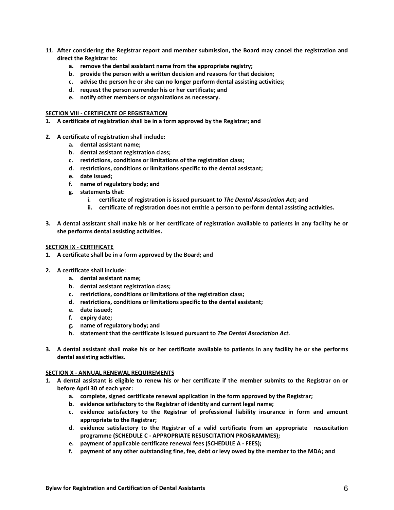- **11. After considering the Registrar report and member submission, the Board may cancel the registration and direct the Registrar to:**
	- **a. remove the dental assistant name from the appropriate registry;**
	- **b. provide the person with a written decision and reasons for that decision;**
	- **c. advise the person he or she can no longer perform dental assisting activities;**
	- **d. request the person surrender his or her certificate; and**
	- **e. notify other members or organizations as necessary.**

#### **SECTION VIII - CERTIFICATE OF REGISTRATION**

- **1. A certificate of registration shall be in a form approved by the Registrar; and**
- **2. A certificate of registration shall include:**
	- **a. dental assistant name;**
	- **b. dental assistant registration class;**
	- **c. restrictions, conditions or limitations of the registration class;**
	- **d. restrictions, conditions or limitations specific to the dental assistant;**
	- **e. date issued;**
	- **f. name of regulatory body; and**
	- **g. statements that:**
		- **i. certificate of registration is issued pursuant to** *The Dental Association Act***; and**
		- **ii. certificate of registration does not entitle a person to perform dental assisting activities.**
- **3. A dental assistant shall make his or her certificate of registration available to patients in any facility he or she performs dental assisting activities.**

#### **SECTION IX - CERTIFICATE**

- **1. A certificate shall be in a form approved by the Board; and**
- **2. A certificate shall include:**
	- **a. dental assistant name;**
	- **b. dental assistant registration class;**
	- **c. restrictions, conditions or limitations of the registration class;**
	- **d. restrictions, conditions or limitations specific to the dental assistant;**
	- **e. date issued;**
	- **f. expiry date;**
	- **g. name of regulatory body; and**
	- **h. statement that the certificate is issued pursuant to** *The Dental Association Act.*
- **3. A dental assistant shall make his or her certificate available to patients in any facility he or she performs dental assisting activities.**

#### **SECTION X - ANNUAL RENEWAL REQUIREMENTS**

- **1. A dental assistant is eligible to renew his or her certificate if the member submits to the Registrar on or before April 30 of each year:**
	- **a. complete, signed certificate renewal application in the form approved by the Registrar;**
	- **b. evidence satisfactory to the Registrar of identity and current legal name;**
	- **c. evidence satisfactory to the Registrar of professional liability insurance in form and amount appropriate to the Registrar;**
	- **d. evidence satisfactory to the Registrar of a valid certificate from an appropriate resuscitation programme (SCHEDULE C - APPROPRIATE RESUSCITATION PROGRAMMES);**
	- **e. payment of applicable certificate renewal fees (SCHEDULE A - FEES);**
	- **f. payment of any other outstanding fine, fee, debt or levy owed by the member to the MDA; and**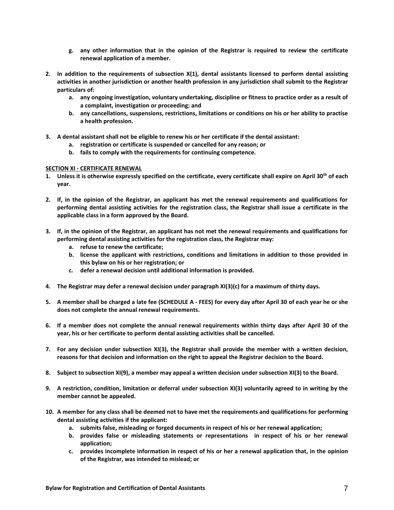- **g. any other information that in the opinion of the Registrar is required to review the certificate renewal application of a member.**
- **2. In addition to the requirements of subsection X(1), dental assistants licensed to perform dental assisting activities in another jurisdiction or another health profession in any jurisdiction shall submit to the Registrar particulars of:**
	- **a. any ongoing investigation, voluntary undertaking, discipline or fitness to practice order as a result of a complaint, investigation or proceeding; and**
	- **b. any cancellations, suspensions, restrictions, limitations or conditions on his or her ability to practise a health profession.**
- **3. A dental assistant shall not be eligible to renew his or her certificate if the dental assistant:**
	- **a. registration or certificate is suspended or cancelled for any reason; or**
	- **b. fails to comply with the requirements for continuing competence.**

# **SECTION XI - CERTIFICATE RENEWAL**

- **1. Unless it is otherwise expressly specified on the certificate, every certificate shall expire on April 30th of each year.**
- **2. If, in the opinion of the Registrar, an applicant has met the renewal requirements and qualifications for performing dental assisting activities for the registration class, the Registrar shall issue a certificate in the applicable class in a form approved by the Board.**
- **3. If, in the opinion of the Registrar, an applicant has not met the renewal requirements and qualifications for performing dental assisting activities for the registration class, the Registrar may:**
	- **a. refuse to renew the certificate;**
	- **b. license the applicant with restrictions, conditions and limitations in addition to those provided in this bylaw on his or her registration; or**
	- **c. defer a renewal decision until additional information is provided.**
- **4. The Registrar may defer a renewal decision under paragraph XI(3)(c) for a maximum of thirty days.**
- **5. A member shall be charged a late fee (SCHEDULE A - FEES) for every day after April 30 of each year he or she does not complete the annual renewal requirements.**
- **6. If a member does not complete the annual renewal requirements within thirty days after April 30 of the year, his or her certificate to perform dental assisting activities shall be cancelled.**
- **7. For any decision under subsection XI(3), the Registrar shall provide the member with a written decision, reasons for that decision and information on the right to appeal the Registrar decision to the Board.**
- **8. Subject to subsection XI(9), a member may appeal a written decision under subsection XI(3) to the Board.**
- **9. A restriction, condition, limitation or deferral under subsection XI(3) voluntarily agreed to in writing by the member cannot be appealed.**
- **10. A member for any class shall be deemed not to have met the requirements and qualifications for performing dental assisting activities if the applicant:**
	- **a. submits false, misleading or forged documents in respect of his or her renewal application;**
	- **b. provides false or misleading statements or representations in respect of his or her renewal application;**
	- **c. provides incomplete information in respect of his or her a renewal application that, in the opinion of the Registrar, was intended to mislead; or**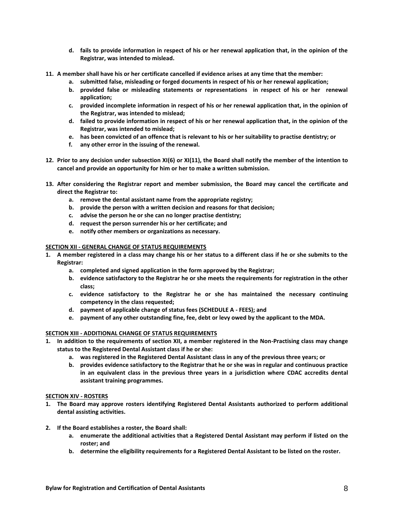- **d. fails to provide information in respect of his or her renewal application that, in the opinion of the Registrar, was intended to mislead.**
- **11. A member shall have his or her certificate cancelled if evidence arises at any time that the member:**
	- **a. submitted false, misleading or forged documents in respect of his or her renewal application;**
	- **b. provided false or misleading statements or representations in respect of his or her renewal application;**
	- **c. provided incomplete information in respect of his or her renewal application that, in the opinion of the Registrar, was intended to mislead;**
	- **d. failed to provide information in respect of his or her renewal application that, in the opinion of the Registrar, was intended to mislead;**
	- **e. has been convicted of an offence that is relevant to his or her suitability to practise dentistry; or**
	- **f. any other error in the issuing of the renewal.**
- **12. Prior to any decision under subsection XI(6) or XI(11), the Board shall notify the member of the intention to cancel and provide an opportunity for him or her to make a written submission.**
- **13. After considering the Registrar report and member submission, the Board may cancel the certificate and direct the Registrar to:**
	- **a. remove the dental assistant name from the appropriate registry;**
	- **b. provide the person with a written decision and reasons for that decision;**
	- **c. advise the person he or she can no longer practise dentistry;**
	- **d. request the person surrender his or her certificate; and**
	- **e. notify other members or organizations as necessary.**

#### **SECTION XII - GENERAL CHANGE OF STATUS REQUIREMENTS**

- **1. A member registered in a class may change his or her status to a different class if he or she submits to the Registrar:**
	- **a. completed and signed application in the form approved by the Registrar;**
	- **b. evidence satisfactory to the Registrar he or she meets the requirements for registration in the other class;**
	- **c. evidence satisfactory to the Registrar he or she has maintained the necessary continuing competency in the class requested;**
	- **d. payment of applicable change of status fees (SCHEDULE A - FEES); and**
	- **e. payment of any other outstanding fine, fee, debt or levy owed by the applicant to the MDA.**

#### **SECTION XIII - ADDITIONAL CHANGE OF STATUS REQUIREMENTS**

- **1. In addition to the requirements of section XII, a member registered in the Non-Practising class may change status to the Registered Dental Assistant class if he or she:**
	- **a. was registered in the Registered Dental Assistant class in any of the previous three years; or**
	- **b. provides evidence satisfactory to the Registrar that he or she was in regular and continuous practice in an equivalent class in the previous three years in a jurisdiction where CDAC accredits dental assistant training programmes.**

#### **SECTION XIV - ROSTERS**

- **1. The Board may approve rosters identifying Registered Dental Assistants authorized to perform additional dental assisting activities.**
- **2. If the Board establishes a roster, the Board shall:**
	- **a. enumerate the additional activities that a Registered Dental Assistant may perform if listed on the roster; and**
	- **b. determine the eligibility requirements for a Registered Dental Assistant to be listed on the roster.**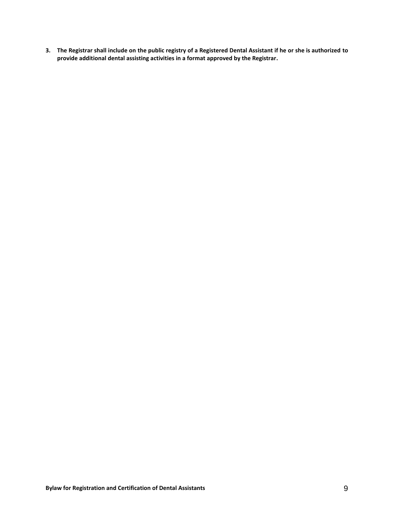**3. The Registrar shall include on the public registry of a Registered Dental Assistant if he or she is authorized to provide additional dental assisting activities in a format approved by the Registrar.**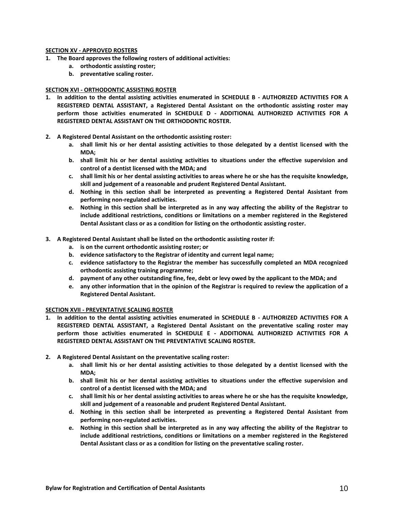## **SECTION XV - APPROVED ROSTERS**

- **1. The Board approves the following rosters of additional activities:**
	- **a. orthodontic assisting roster;**
	- **b. preventative scaling roster.**

# **SECTION XVI - ORTHODONTIC ASSISTING ROSTER**

- **1. In addition to the dental assisting activities enumerated in SCHEDULE B - AUTHORIZED ACTIVITIES FOR A REGISTERED DENTAL ASSISTANT, a Registered Dental Assistant on the orthodontic assisting roster may perform those activities enumerated in SCHEDULE D - ADDITIONAL AUTHORIZED ACTIVITIES FOR A REGISTERED DENTAL ASSISTANT ON THE ORTHODONTIC ROSTER.**
- **2. A Registered Dental Assistant on the orthodontic assisting roster:**
	- **a. shall limit his or her dental assisting activities to those delegated by a dentist licensed with the MDA;**
	- **b. shall limit his or her dental assisting activities to situations under the effective supervision and control of a dentist licensed with the MDA; and**
	- **c. shall limit his or her dental assisting activities to areas where he or she has the requisite knowledge, skill and judgement of a reasonable and prudent Registered Dental Assistant.**
	- **d. Nothing in this section shall be interpreted as preventing a Registered Dental Assistant from performing non-regulated activities.**
	- **e. Nothing in this section shall be interpreted as in any way affecting the ability of the Registrar to include additional restrictions, conditions or limitations on a member registered in the Registered Dental Assistant class or as a condition for listing on the orthodontic assisting roster.**
- **3. A Registered Dental Assistant shall be listed on the orthodontic assisting roster if:**
	- **a. is on the current orthodontic assisting roster; or**
	- **b. evidence satisfactory to the Registrar of identity and current legal name;**
	- **c. evidence satisfactory to the Registrar the member has successfully completed an MDA recognized orthodontic assisting training programme;**
	- **d. payment of any other outstanding fine, fee, debt or levy owed by the applicant to the MDA; and**
	- **e. any other information that in the opinion of the Registrar is required to review the application of a Registered Dental Assistant.**

# **SECTION XVII - PREVENTATIVE SCALING ROSTER**

- **1. In addition to the dental assisting activities enumerated in SCHEDULE B - AUTHORIZED ACTIVITIES FOR A REGISTERED DENTAL ASSISTANT, a Registered Dental Assistant on the preventative scaling roster may perform those activities enumerated in SCHEDULE E - ADDITIONAL AUTHORIZED ACTIVITIES FOR A REGISTERED DENTAL ASSISTANT ON THE PREVENTATIVE SCALING ROSTER.**
- **2. A Registered Dental Assistant on the preventative scaling roster:**
	- **a. shall limit his or her dental assisting activities to those delegated by a dentist licensed with the MDA;**
	- **b. shall limit his or her dental assisting activities to situations under the effective supervision and control of a dentist licensed with the MDA; and**
	- **c. shall limit his or her dental assisting activities to areas where he or she has the requisite knowledge, skill and judgement of a reasonable and prudent Registered Dental Assistant.**
	- **d. Nothing in this section shall be interpreted as preventing a Registered Dental Assistant from performing non-regulated activities.**
	- **e. Nothing in this section shall be interpreted as in any way affecting the ability of the Registrar to include additional restrictions, conditions or limitations on a member registered in the Registered Dental Assistant class or as a condition for listing on the preventative scaling roster.**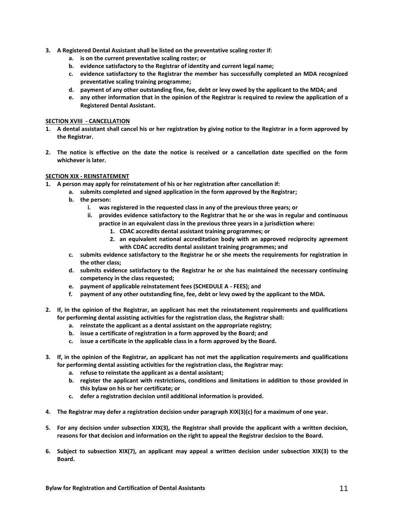- **3. A Registered Dental Assistant shall be listed on the preventative scaling roster if:**
	- **a. is on the current preventative scaling roster; or**
	- **b. evidence satisfactory to the Registrar of identity and current legal name;**
	- **c. evidence satisfactory to the Registrar the member has successfully completed an MDA recognized preventative scaling training programme;**
	- **d. payment of any other outstanding fine, fee, debt or levy owed by the applicant to the MDA; and**
	- **e. any other information that in the opinion of the Registrar is required to review the application of a Registered Dental Assistant.**

# **SECTION XVIII - CANCELLATION**

- **1. A dental assistant shall cancel his or her registration by giving notice to the Registrar in a form approved by the Registrar.**
- **2. The notice is effective on the date the notice is received or a cancellation date specified on the form whichever is later.**

# **SECTION XIX - REINSTATEMENT**

- **1. A person may apply for reinstatement of his or her registration after cancellation if:**
	- **a. submits completed and signed application in the form approved by the Registrar;**
	- **b. the person:**
		- **i. was registered in the requested class in any of the previous three years; or**
		- **ii. provides evidence satisfactory to the Registrar that he or she was in regular and continuous practice in an equivalent class in the previous three years in a jurisdiction where:**
			- **1. CDAC accredits dental assistant training programmes; or**
			- **2. an equivalent national accreditation body with an approved reciprocity agreement with CDAC accredits dental assistant training programmes; and**
	- **c. submits evidence satisfactory to the Registrar he or she meets the requirements for registration in the other class;**
	- **d. submits evidence satisfactory to the Registrar he or she has maintained the necessary continuing competency in the class requested;**
	- **e. payment of applicable reinstatement fees (SCHEDULE A - FEES); and**
	- **f. payment of any other outstanding fine, fee, debt or levy owed by the applicant to the MDA.**
- **2. If, in the opinion of the Registrar, an applicant has met the reinstatement requirements and qualifications for performing dental assisting activities for the registration class, the Registrar shall:**
	- **a. reinstate the applicant as a dental assistant on the appropriate registry;**
	- **b. issue a certificate of registration in a form approved by the Board; and**
	- **c. issue a certificate in the applicable class in a form approved by the Board.**
- **3. If, in the opinion of the Registrar, an applicant has not met the application requirements and qualifications for performing dental assisting activities for the registration class, the Registrar may:**
	- **a. refuse to reinstate the applicant as a dental assistant;**
	- **b. register the applicant with restrictions, conditions and limitations in addition to those provided in this bylaw on his or her certificate; or**
	- **c. defer a registration decision until additional information is provided.**
- **4. The Registrar may defer a registration decision under paragraph XIX(3)(c) for a maximum of one year.**
- **5. For any decision under subsection XIX(3), the Registrar shall provide the applicant with a written decision, reasons for that decision and information on the right to appeal the Registrar decision to the Board.**
- **6. Subject to subsection XIX(7), an applicant may appeal a written decision under subsection XIX(3) to the Board.**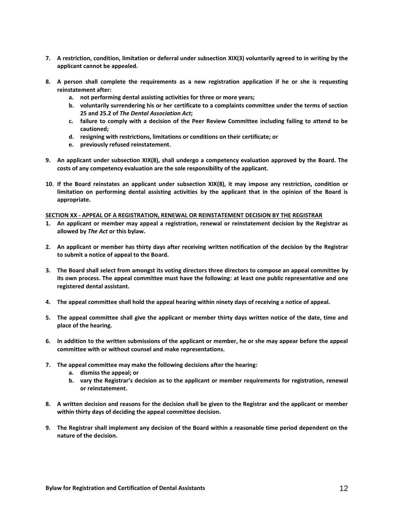- **7. A restriction, condition, limitation or deferral under subsection XIX(3) voluntarily agreed to in writing by the applicant cannot be appealed.**
- **8. A person shall complete the requirements as a new registration application if he or she is requesting reinstatement after:**
	- **a. not performing dental assisting activities for three or more years;**
	- **b. voluntarily surrendering his or her certificate to a complaints committee under the terms of section 25 and 25.2 of** *The Dental Association Act***;**
	- **c. failure to comply with a decision of the Peer Review Committee including failing to attend to be cautioned;**
	- **d. resigning with restrictions, limitations or conditions on their certificate; or**
	- **e. previously refused reinstatement.**
- **9. An applicant under subsection XIX(8), shall undergo a competency evaluation approved by the Board. The costs of any competency evaluation are the sole responsibility of the applicant.**
- **10. If the Board reinstates an applicant under subsection XIX(8), it may impose any restriction, condition or limitation on performing dental assisting activities by the applicant that in the opinion of the Board is appropriate.**

#### **SECTION XX - APPEAL OF A REGISTRATION, RENEWAL OR REINSTATEMENT DECISION BY THE REGISTRAR**

- **1. An applicant or member may appeal a registration, renewal or reinstatement decision by the Registrar as allowed by** *The Act* **or this bylaw.**
- **2. An applicant or member has thirty days after receiving written notification of the decision by the Registrar to submit a notice of appeal to the Board.**
- **3. The Board shall select from amongst its voting directors three directors to compose an appeal committee by its own process. The appeal committee must have the following: at least one public representative and one registered dental assistant.**
- **4. The appeal committee shall hold the appeal hearing within ninety days of receiving a notice of appeal.**
- **5. The appeal committee shall give the applicant or member thirty days written notice of the date, time and place of the hearing.**
- **6. In addition to the written submissions of the applicant or member, he or she may appear before the appeal committee with or without counsel and make representations.**
- **7. The appeal committee may make the following decisions after the hearing:**
	- **a. dismiss the appeal; or**
	- **b. vary the Registrar's decision as to the applicant or member requirements for registration, renewal or reinstatement.**
- **8. A written decision and reasons for the decision shall be given to the Registrar and the applicant or member within thirty days of deciding the appeal committee decision.**
- **9. The Registrar shall implement any decision of the Board within a reasonable time period dependent on the nature of the decision.**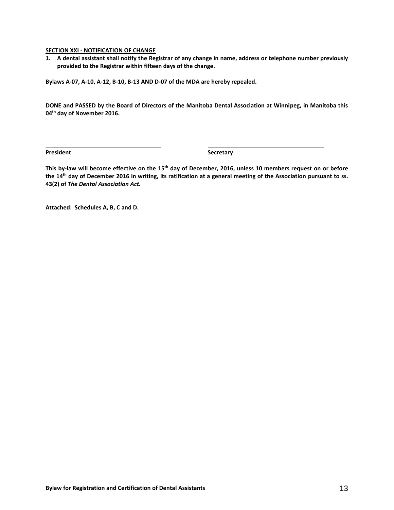#### **SECTION XXI - NOTIFICATION OF CHANGE**

**1. A dental assistant shall notify the Registrar of any change in name, address or telephone number previously provided to the Registrar within fifteen days of the change.**

**Bylaws A-07, A-10, A-12, B-10, B-13 AND D-07 of the MDA are hereby repealed.**

**DONE and PASSED by the Board of Directors of the Manitoba Dental Association at Winnipeg, in Manitoba this 04th day of November 2016.**

**President Secretary** 

**This by-law will become effective on the 15th day of December, 2016, unless 10 members request on or before the 14th day of December 2016 in writing, its ratification at a general meeting of the Association pursuant to ss. 43(2) of** *The Dental Association Act.*

**Attached: Schedules A, B, C and D.**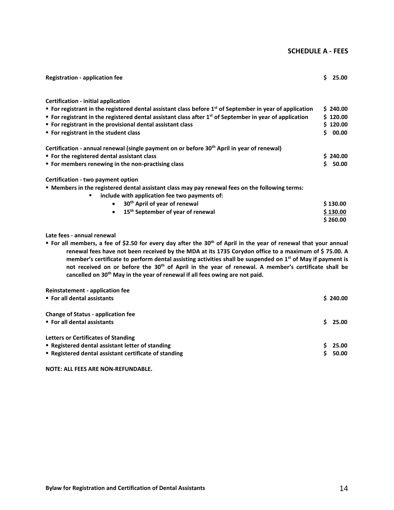# **SCHEDULE A - FEES**

| <b>Registration - application fee</b>                                                                                                                                                                                                                                                                                                                                         | S. | 25.00                                     |
|-------------------------------------------------------------------------------------------------------------------------------------------------------------------------------------------------------------------------------------------------------------------------------------------------------------------------------------------------------------------------------|----|-------------------------------------------|
| Certification - initial application<br>■ For registrant in the registered dental assistant class before 1 <sup>st</sup> of September in year of application<br>For registrant in the registered dental assistant class after $1st$ of September in year of application<br>• For registrant in the provisional dental assistant class<br>■ For registrant in the student class | Ś. | \$240.00<br>\$120.00<br>\$120.00<br>00.00 |
| Certification - annual renewal (single payment on or before 30 <sup>th</sup> April in year of renewal)<br>• For the registered dental assistant class<br>" For members renewing in the non-practising class                                                                                                                                                                   | Ś. | \$240.00<br>50.00                         |
| Certification - two payment option<br><b>■ Members in the registered dental assistant class may pay renewal fees on the following terms:</b><br>include with application fee two payments of:<br>٠<br>• 30 <sup>th</sup> April of year of renewal<br>15 <sup>th</sup> September of year of renewal                                                                            |    | \$130.00<br>\$130.00<br>\$260.00          |

# **Late fees - annual renewal**

 **For all members, a fee of \$2.50 for every day after the 30th of April in the year of renewal that your annual renewal fees have not been received by the MDA at its 1735 Corydon office to a maximum of \$ 75.00. A member's certificate to perform dental assisting activities shall be suspended on 1st of May if payment is not received on or before the 30th of April in the year of renewal. A member's certificate shall be cancelled on 30th May in the year of renewal if all fees owing are not paid.**

| <b>Reinstatement - application fee</b><br>■ For all dental assistants                                                                                   | \$240.00       |
|---------------------------------------------------------------------------------------------------------------------------------------------------------|----------------|
| <b>Change of Status - application fee</b><br>■ For all dental assistants                                                                                | 25.00          |
| <b>Letters or Certificates of Standing</b><br>• Registered dental assistant letter of standing<br>" Registered dental assistant certificate of standing | 25.00<br>50.00 |

**NOTE: ALL FEES ARE NON-REFUNDABLE.**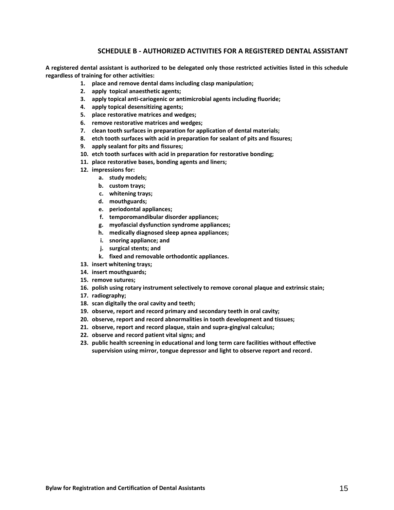# **SCHEDULE B - AUTHORIZED ACTIVITIES FOR A REGISTERED DENTAL ASSISTANT**

**A registered dental assistant is authorized to be delegated only those restricted activities listed in this schedule regardless of training for other activities:**

- **1. place and remove dental dams including clasp manipulation;**
- **2. apply topical anaesthetic agents;**
- **3. apply topical anti-cariogenic or antimicrobial agents including fluoride;**
- **4. apply topical desensitizing agents;**
- **5. place restorative matrices and wedges;**
- **6. remove restorative matrices and wedges;**
- **7. clean tooth surfaces in preparation for application of dental materials;**
- **8. etch tooth surfaces with acid in preparation for sealant of pits and fissures;**
- **9. apply sealant for pits and fissures;**
- **10. etch tooth surfaces with acid in preparation for restorative bonding;**
- **11. place restorative bases, bonding agents and liners;**
- **12. impressions for:**
	- **a. study models;**
	- **b. custom trays;**
	- **c. whitening trays;**
	- **d. mouthguards;**
	- **e. periodontal appliances;**
	- **f. temporomandibular disorder appliances;**
	- **g. myofascial dysfunction syndrome appliances;**
	- **h. medically diagnosed sleep apnea appliances;**
	- **i. snoring appliance; and**
	- **j. surgical stents; and**
	- **k. fixed and removable orthodontic appliances.**
- **13. insert whitening trays;**
- **14. insert mouthguards;**
- **15. remove sutures;**
- **16. polish using rotary instrument selectively to remove coronal plaque and extrinsic stain;**
- **17. radiography;**
- **18. scan digitally the oral cavity and teeth;**
- **19. observe, report and record primary and secondary teeth in oral cavity;**
- **20. observe, report and record abnormalities in tooth development and tissues;**
- **21. observe, report and record plaque, stain and supra-gingival calculus;**
- **22. observe and record patient vital signs; and**
- **23. public health screening in educational and long term care facilities without effective supervision using mirror, tongue depressor and light to observe report and record.**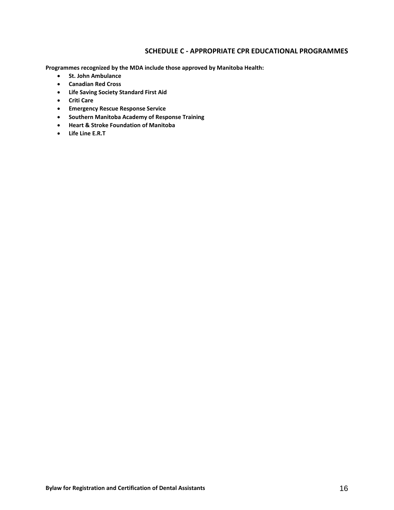# **SCHEDULE C - APPROPRIATE CPR EDUCATIONAL PROGRAMMES**

**Programmes recognized by the MDA include those approved by Manitoba Health:**

- **•** St. John Ambulance
- **Canadian Red Cross**
- **Life Saving Society Standard First Aid**
- **Criti Care**
- **Emergency Rescue Response Service**
- **Southern Manitoba Academy of Response Training**
- **Heart & Stroke Foundation of Manitoba**
- **Life Line E.R.T**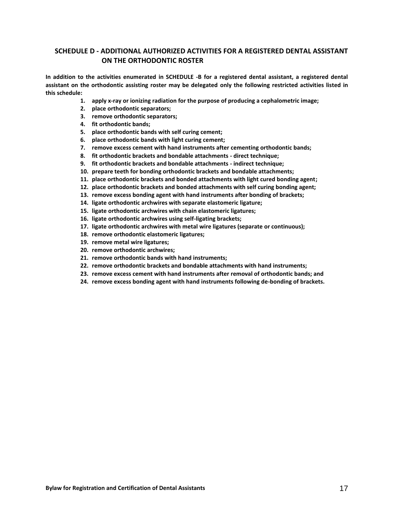# **SCHEDULE D - ADDITIONAL AUTHORIZED ACTIVITIES FOR A REGISTERED DENTAL ASSISTANT ON THE ORTHODONTIC ROSTER**

**In addition to the activities enumerated in SCHEDULE -B for a registered dental assistant, a registered dental assistant on the orthodontic assisting roster may be delegated only the following restricted activities listed in this schedule:**

- **1. apply x-ray or ionizing radiation for the purpose of producing a cephalometric image;**
- **2. place orthodontic separators;**
- **3. remove orthodontic separators;**
- **4. fit orthodontic bands;**
- **5. place orthodontic bands with self curing cement;**
- **6. place orthodontic bands with light curing cement;**
- **7. remove excess cement with hand instruments after cementing orthodontic bands;**
- **8. fit orthodontic brackets and bondable attachments - direct technique;**
- **9. fit orthodontic brackets and bondable attachments - indirect technique;**
- **10. prepare teeth for bonding orthodontic brackets and bondable attachments;**
- **11. place orthodontic brackets and bonded attachments with light cured bonding agent;**
- **12. place orthodontic brackets and bonded attachments with self curing bonding agent;**
- **13. remove excess bonding agent with hand instruments after bonding of brackets;**
- **14. ligate orthodontic archwires with separate elastomeric ligature;**
- **15. ligate orthodontic archwires with chain elastomeric ligatures;**
- **16. ligate orthodontic archwires using self-ligating brackets;**
- **17. ligate orthodontic archwires with metal wire ligatures (separate or continuous);**
- **18. remove orthodontic elastomeric ligatures;**
- **19. remove metal wire ligatures;**
- **20. remove orthodontic archwires;**
- **21. remove orthodontic bands with hand instruments;**
- **22. remove orthodontic brackets and bondable attachments with hand instruments;**
- **23. remove excess cement with hand instruments after removal of orthodontic bands; and**
- **24. remove excess bonding agent with hand instruments following de-bonding of brackets.**